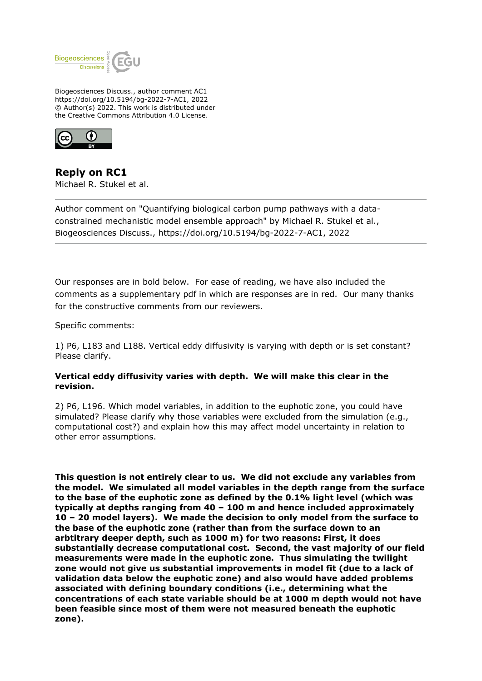

Biogeosciences Discuss., author comment AC1 https://doi.org/10.5194/bg-2022-7-AC1, 2022 © Author(s) 2022. This work is distributed under the Creative Commons Attribution 4.0 License.



**Reply on RC1** Michael R. Stukel et al.

Author comment on "Quantifying biological carbon pump pathways with a dataconstrained mechanistic model ensemble approach" by Michael R. Stukel et al., Biogeosciences Discuss., https://doi.org/10.5194/bg-2022-7-AC1, 2022

Our responses are in bold below. For ease of reading, we have also included the comments as a supplementary pdf in which are responses are in red. Our many thanks for the constructive comments from our reviewers.

Specific comments:

1) P6, L183 and L188. Vertical eddy diffusivity is varying with depth or is set constant? Please clarify.

## **Vertical eddy diffusivity varies with depth. We will make this clear in the revision.**

2) P6, L196. Which model variables, in addition to the euphotic zone, you could have simulated? Please clarify why those variables were excluded from the simulation (e.g., computational cost?) and explain how this may affect model uncertainty in relation to other error assumptions.

**This question is not entirely clear to us. We did not exclude any variables from the model. We simulated all model variables in the depth range from the surface to the base of the euphotic zone as defined by the 0.1% light level (which was typically at depths ranging from 40 – 100 m and hence included approximately 10 – 20 model layers). We made the decision to only model from the surface to the base of the euphotic zone (rather than from the surface down to an arbtitrary deeper depth, such as 1000 m) for two reasons: First, it does substantially decrease computational cost. Second, the vast majority of our field measurements were made in the euphotic zone. Thus simulating the twilight zone would not give us substantial improvements in model fit (due to a lack of validation data below the euphotic zone) and also would have added problems associated with defining boundary conditions (i.e., determining what the concentrations of each state variable should be at 1000 m depth would not have been feasible since most of them were not measured beneath the euphotic zone).**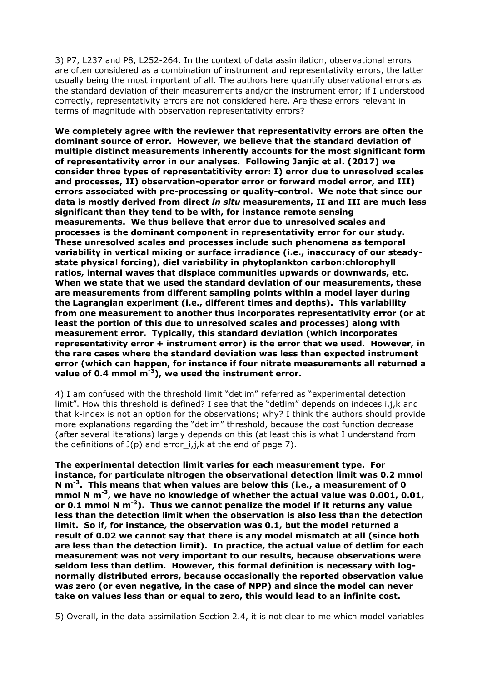3) P7, L237 and P8, L252-264. In the context of data assimilation, observational errors are often considered as a combination of instrument and representativity errors, the latter usually being the most important of all. The authors here quantify observational errors as the standard deviation of their measurements and/or the instrument error; if I understood correctly, representativity errors are not considered here. Are these errors relevant in terms of magnitude with observation representativity errors?

**We completely agree with the reviewer that representativity errors are often the dominant source of error. However, we believe that the standard deviation of multiple distinct measurements inherently accounts for the most significant form of representativity error in our analyses. Following Janjic et al. (2017) we consider three types of representatitivity error: I) error due to unresolved scales and processes, II) observation-operator error or forward model error, and III) errors associated with pre-processing or quality-control. We note that since our data is mostly derived from direct** *in situ* **measurements, II and III are much less significant than they tend to be with, for instance remote sensing measurements. We thus believe that error due to unresolved scales and processes is the dominant component in representativity error for our study. These unresolved scales and processes include such phenomena as temporal variability in vertical mixing or surface irradiance (i.e., inaccuracy of our steadystate physical forcing), diel variability in phytoplankton carbon:chlorophyll ratios, internal waves that displace communities upwards or downwards, etc. When we state that we used the standard deviation of our measurements, these are measurements from different sampling points within a model layer during the Lagrangian experiment (i.e., different times and depths). This variability from one measurement to another thus incorporates representativity error (or at least the portion of this due to unresolved scales and processes) along with measurement error. Typically, this standard deviation (which incorporates representativity error + instrument error) is the error that we used. However, in the rare cases where the standard deviation was less than expected instrument error (which can happen, for instance if four nitrate measurements all returned a value of 0.4 mmol m-3), we used the instrument error.** 

4) I am confused with the threshold limit "detlim" referred as "experimental detection limit". How this threshold is defined? I see that the "detlim" depends on indeces i,j,k and that k-index is not an option for the observations; why? I think the authors should provide more explanations regarding the "detlim" threshold, because the cost function decrease (after several iterations) largely depends on this (at least this is what I understand from the definitions of  $J(p)$  and error  $i,j,k$  at the end of page 7).

**The experimental detection limit varies for each measurement type. For instance, for particulate nitrogen the observational detection limit was 0.2 mmol N m-3. This means that when values are below this (i.e., a measurement of 0 mmol N m-3, we have no knowledge of whether the actual value was 0.001, 0.01, or 0.1 mmol N m-3). Thus we cannot penalize the model if it returns any value less than the detection limit when the observation is also less than the detection limit. So if, for instance, the observation was 0.1, but the model returned a result of 0.02 we cannot say that there is any model mismatch at all (since both are less than the detection limit). In practice, the actual value of detlim for each measurement was not very important to our results, because observations were seldom less than detlim. However, this formal definition is necessary with lognormally distributed errors, because occasionally the reported observation value was zero (or even negative, in the case of NPP) and since the model can never take on values less than or equal to zero, this would lead to an infinite cost.** 

5) Overall, in the data assimilation Section 2.4, it is not clear to me which model variables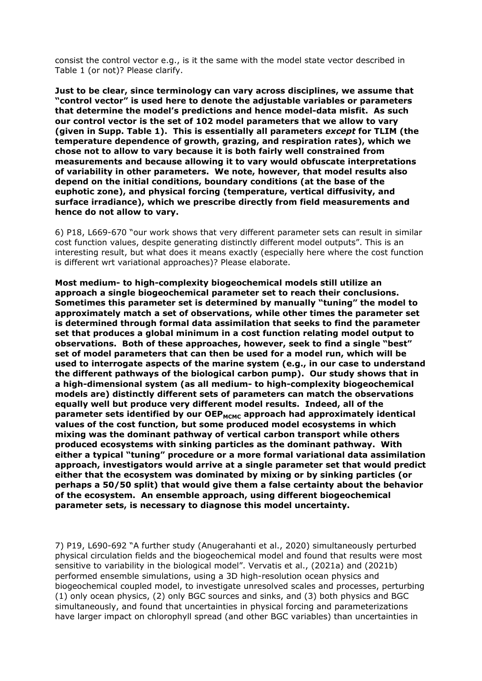consist the control vector e.g., is it the same with the model state vector described in Table 1 (or not)? Please clarify.

**Just to be clear, since terminology can vary across disciplines, we assume that "control vector" is used here to denote the adjustable variables or parameters that determine the model's predictions and hence model-data misfit. As such our control vector is the set of 102 model parameters that we allow to vary (given in Supp. Table 1). This is essentially all parameters** *except* **for TLIM (the temperature dependence of growth, grazing, and respiration rates), which we chose not to allow to vary because it is both fairly well constrained from measurements and because allowing it to vary would obfuscate interpretations of variability in other parameters. We note, however, that model results also depend on the initial conditions, boundary conditions (at the base of the euphotic zone), and physical forcing (temperature, vertical diffusivity, and surface irradiance), which we prescribe directly from field measurements and hence do not allow to vary.**

6) P18, L669-670 "our work shows that very different parameter sets can result in similar cost function values, despite generating distinctly different model outputs". This is an interesting result, but what does it means exactly (especially here where the cost function is different wrt variational approaches)? Please elaborate.

**Most medium- to high-complexity biogeochemical models still utilize an approach a single biogeochemical parameter set to reach their conclusions. Sometimes this parameter set is determined by manually "tuning" the model to approximately match a set of observations, while other times the parameter set is determined through formal data assimilation that seeks to find the parameter set that produces a global minimum in a cost function relating model output to observations. Both of these approaches, however, seek to find a single "best" set of model parameters that can then be used for a model run, which will be used to interrogate aspects of the marine system (e.g., in our case to understand the different pathways of the biological carbon pump). Our study shows that in a high-dimensional system (as all medium- to high-complexity biogeochemical models are) distinctly different sets of parameters can match the observations equally well but produce very different model results. Indeed, all of the parameter sets identified by our OEP**<sub>MCMC</sub> approach had approximately identical **values of the cost function, but some produced model ecosystems in which mixing was the dominant pathway of vertical carbon transport while others produced ecosystems with sinking particles as the dominant pathway. With either a typical "tuning" procedure or a more formal variational data assimilation approach, investigators would arrive at a single parameter set that would predict either that the ecosystem was dominated by mixing or by sinking particles (or perhaps a 50/50 split) that would give them a false certainty about the behavior of the ecosystem. An ensemble approach, using different biogeochemical parameter sets, is necessary to diagnose this model uncertainty.** 

7) P19, L690-692 "A further study (Anugerahanti et al., 2020) simultaneously perturbed physical circulation fields and the biogeochemical model and found that results were most sensitive to variability in the biological model". Vervatis et al., (2021a) and (2021b) performed ensemble simulations, using a 3D high-resolution ocean physics and biogeochemical coupled model, to investigate unresolved scales and processes, perturbing (1) only ocean physics, (2) only BGC sources and sinks, and (3) both physics and BGC simultaneously, and found that uncertainties in physical forcing and parameterizations have larger impact on chlorophyll spread (and other BGC variables) than uncertainties in